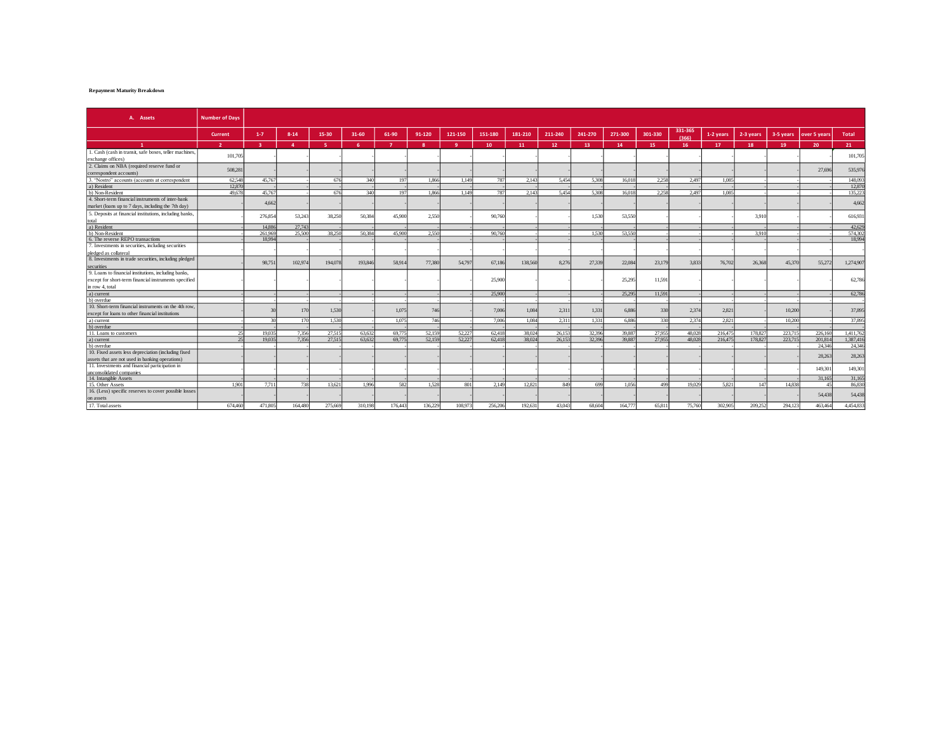## **Repayment Maturity Breakdown**

| A. Assets                                                                                               | <b>Number of Davs</b> |                         |                |         |           |                |              |         |         |         |         |         |         |         |                  |           |           |           |              |           |
|---------------------------------------------------------------------------------------------------------|-----------------------|-------------------------|----------------|---------|-----------|----------------|--------------|---------|---------|---------|---------|---------|---------|---------|------------------|-----------|-----------|-----------|--------------|-----------|
|                                                                                                         | Current               | $1 - 7$                 | $8 - 14$       | 15-30   | $31 - 60$ | 61-90          | 91-120       | 121-150 | 151-180 | 181-210 | 211-240 | 241-270 | 271-300 | 301-330 | 331-365<br>(366) | 1-2 years | 2-3 years | 3-5 years | over 5 years | Total     |
| $\mathbf{1}$                                                                                            | $\overline{2}$        | $\overline{\mathbf{3}}$ | $\overline{a}$ | -51     | -6        | 7 <sup>7</sup> | $\mathbf{R}$ | -9      | 10      | 11      | 12      | 13      | 14      | 15      | 16               | 17        | 18        | 19        | 20           | 21        |
| 1. Cash (cash in transit, safe boxes, teller machines,<br>exchange offices)                             | 101,705               |                         |                |         |           |                |              |         |         |         |         |         |         |         |                  |           |           |           |              | 101,705   |
| 2. Claims on NBA (required reserve fund or<br>correspondent accounts)                                   | 508.281               |                         |                |         |           |                |              |         |         |         |         |         |         |         |                  |           |           |           | 27,696       | 535,976   |
| 3. "Nostro" accounts (accounts at correspondent                                                         | 62.548                | 45.767                  |                | 676     | 340       | 197            | 1.866        | 1.149   | 787     | 2.143   | 5.454   | 5.308   | 16.018  | 2.258   | 2.497            | 1.085     |           |           |              | 148,093   |
| a) Resident                                                                                             | 12.870                |                         |                |         |           |                |              |         |         |         |         |         |         |         |                  |           |           |           |              | 12,870    |
| b) Non-Resident                                                                                         | 49,678                | 45,767                  |                | 676     | 340       | 197            | 1.866        | 1.149   | 787     | 2.143   | 5.454   | 5.308   | 16.018  | 2.258   | 2.497            | 1.085     |           |           |              | 135.22    |
| 4. Short-term financial instruments of inter-bank<br>market (loans up to 7 days, including the 7th day) |                       | 4.662                   |                |         |           |                |              |         |         |         |         |         |         |         |                  |           |           |           |              | 4.66      |
| 5. Deposits at financial institutions, including banks,                                                 |                       | 276.854                 | 53.243         | 38.250  | 50,384    | 45,900         | 2.550        |         | 90,760  |         |         | 1.530   | 53,550  |         |                  |           | 3.910     |           |              | 616,931   |
| total<br>a) Resident                                                                                    |                       | 14,886                  | 27,743         |         |           |                |              |         |         |         |         |         |         |         |                  |           |           |           |              | 42,629    |
| b) Non-Resident                                                                                         |                       | 261.969                 | 25.500         | 38.250  | 50.384    | 45.900         | 2.550        |         | 90.760  |         |         | 1.530   | 53.550  |         |                  |           | 3910      |           |              | 574.30    |
| 6. The reverse REPO transactions                                                                        |                       | 18,994                  |                |         |           |                |              |         |         |         |         |         |         |         |                  |           |           |           |              | 18.99     |
| 7. Investments in securities, including securities                                                      |                       |                         |                |         |           |                |              |         |         |         |         |         |         |         |                  |           |           |           |              |           |
| pledged as collateral                                                                                   |                       |                         |                |         |           |                |              |         |         |         |         |         |         |         |                  |           |           |           |              |           |
| 8. Investments in trade securities, including pledged                                                   |                       |                         |                |         |           |                |              |         |         |         |         |         |         |         |                  |           |           |           |              |           |
| securities                                                                                              |                       | 98,751                  | 102,97         | 194,078 | 193,846   | 58.91          | 77,380       | 54,797  | 67,186  | 138,560 | 8,276   | 27,339  | 22,084  | 23,179  | 3.833            | 76,702    | 26,368    | 45,370    | 55,272       | 1,274,907 |
| 9. Loans to financial institutions, including banks,                                                    |                       |                         |                |         |           |                |              |         |         |         |         |         |         |         |                  |           |           |           |              |           |
| except for short-term financial instruments specified                                                   |                       |                         |                |         |           |                |              |         | 25,900  |         |         |         | 25,295  | 11,591  |                  |           |           |           |              | 62,786    |
| in row 4, total                                                                                         |                       |                         |                |         |           |                |              |         |         |         |         |         |         |         |                  |           |           |           |              |           |
| a) current                                                                                              |                       |                         |                |         |           |                |              |         | 25,900  |         |         |         | 25.295  | 11.591  |                  |           |           |           |              | 62.78     |
| b) overdue                                                                                              |                       |                         |                |         |           |                |              |         |         |         |         |         |         |         |                  |           |           |           |              |           |
| 10. Short-term financial instruments on the 4th row.                                                    |                       |                         |                |         |           |                |              |         |         |         |         |         |         |         |                  |           |           |           |              |           |
| except for loans to other financial institutions                                                        |                       |                         | 17(            | 1.530   |           | 1.075          | 746          |         | 7.006   | 1.084   | 2,311   | 1.331   | 6.886   | 330     | 2.374            | 2.821     |           | 10,200    |              | 37,89     |
| a) current                                                                                              |                       | 30                      | 170            | 1.530   |           | 1.075          | 746          |         | 7.006   | 1,084   | 2,311   | 1.331   | 6.886   | 330     | 2.374            | 2.821     |           | 10,200    |              | 37,89     |
| b) overdue                                                                                              |                       |                         |                |         |           |                |              |         |         |         |         |         |         |         |                  |           |           |           |              |           |
| 11. Loans to customers                                                                                  | 25                    | 19.035                  | 7.356          | 27.515  | 63.632    | 69.77          | 52.159       | 52,227  | 62.418  | 38,024  | 26.153  | 32.396  | 39.887  | 27,955  | 48.028           | 216.475   | 178.82    | 223,715   | 226,160      | 1,411,76  |
| a) current                                                                                              | 25                    | 19.035                  | 7.356          | 27.515  | 63.632    | 69.77          | 52.159       | 52.227  | 62.418  | 38,024  | 26.153  | 32,396  | 39,887  | 27,955  | 48.028           | 216,475   | 178.82    | 223,715   | 201.814      | 1,387,41  |
| b) overdue                                                                                              |                       |                         |                |         |           |                |              |         |         |         |         |         |         |         |                  |           |           |           | 24,346       | 24,34     |
| 10. Fixed assets less depreciation (including fixed                                                     |                       |                         |                |         |           |                |              |         |         |         |         |         |         |         |                  |           |           |           | 28,263       | 28,263    |
| assets that are not used in banking operations)                                                         |                       |                         |                |         |           |                |              |         |         |         |         |         |         |         |                  |           |           |           |              |           |
| 11. Investments and financial participation in                                                          |                       |                         |                |         |           |                |              |         |         |         |         |         |         |         |                  |           |           |           | 149,301      | 149,301   |
| unconsolidated companies                                                                                |                       |                         |                |         |           |                |              |         |         |         |         |         |         |         |                  |           |           |           |              |           |
| 14. Intangible Assets                                                                                   |                       |                         |                |         |           |                |              |         |         |         |         |         |         |         |                  |           |           |           | 31.165       | 31,165    |
| 15. Other Assets                                                                                        | 1.901                 | 7.711                   | 738            | 13.62   | 1.996     | 582            | 1.528        | 801     | 2.149   | 12.821  | 849     | 699     | 1.056   | 499     | 19.029           | 5.821     | 14'       | 14.838    | 45           | 86.83     |
| 16. (Less) specific reserves to cover possible losses<br>on assets                                      |                       |                         |                |         |           |                |              |         |         |         |         |         |         |         |                  |           |           |           | 54,438       | 54,438    |
| 17. Total assets                                                                                        | 674.460               | 471,805                 | 164,480        | 275,669 | 310,198   | 176.443        | 136.229      | 108,973 | 256,206 | 192.631 | 43,043  | 68,604  | 164,777 | 65.811  | 75,760           | 302.905   | 209.25    | 294,123   | 463,464      | 4,454,83  |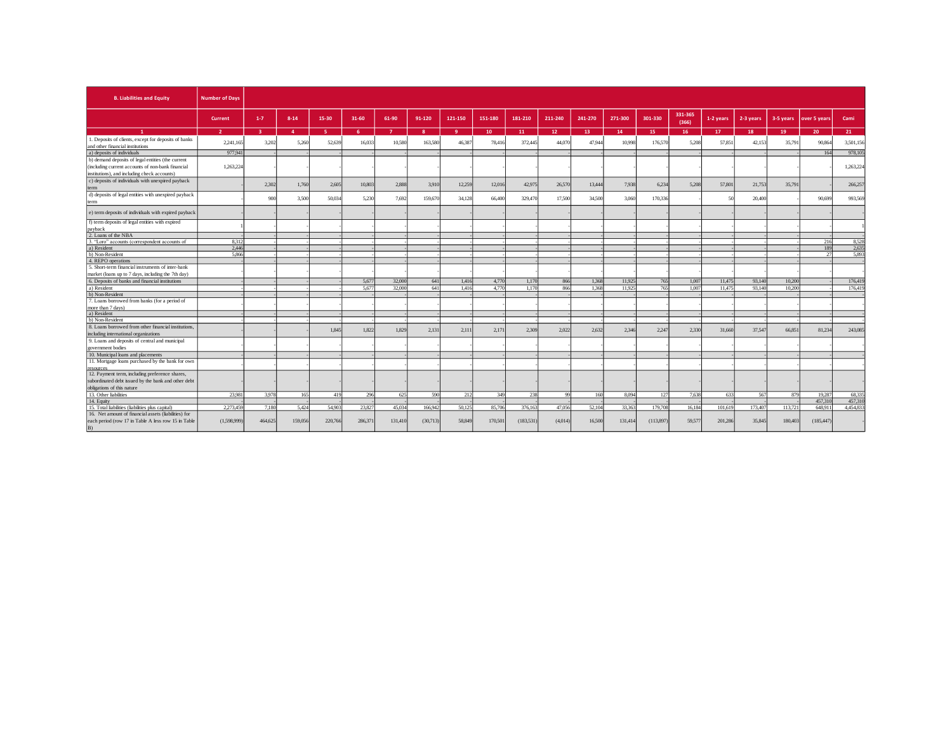| <b>B. Liabilities and Equity</b>                                                         | <b>Number of Days</b> |                |                |          |        |                |              |         |         |            |                 |         |         |           |                  |           |           |           |              |           |
|------------------------------------------------------------------------------------------|-----------------------|----------------|----------------|----------|--------|----------------|--------------|---------|---------|------------|-----------------|---------|---------|-----------|------------------|-----------|-----------|-----------|--------------|-----------|
|                                                                                          | Current               | $1 - 7$        | $8 - 14$       | 15-30    | 31-60  | 61-90          | 91-120       | 121-150 | 151-180 | 181-210    | 211-240         | 241-270 | 271-300 | 301-330   | 331-365<br>(366) | 1-2 years | 2-3 years | 3-5 years | over 5 years | Cami      |
|                                                                                          |                       | $\overline{a}$ | $\overline{A}$ | <b>E</b> | 6.     | $\overline{7}$ | $\mathbf{R}$ | -9      | 10      | 11         | 12 <sup>°</sup> | 13      | 14      | 15        | 16               | 17        | 18        | 19        | 20           | 21        |
| 1. Deposits of clients, except for deposits of banks<br>and other financial institutions | 2,241,165             | 3.20           | 5,26           | 52,639   | 16,033 | 10,580         | 163,580      | 46,38   | 78,416  | 372,445    | 44.07           | 47,944  | 10,998  | 176,57    | 5.208            | 57,851    | 42,15     | 35,791    | 90,864       | 3,501,156 |
| a) deposits of individuals                                                               | 977,941               |                |                |          |        |                |              |         |         |            |                 |         |         |           |                  |           |           |           | 164          | 978,105   |
| b) demand deposits of legal entities (the current                                        |                       |                |                |          |        |                |              |         |         |            |                 |         |         |           |                  |           |           |           |              |           |
| (including current accounts of non-bank financial                                        | 1.263.224             |                |                |          |        |                |              |         |         |            |                 |         |         |           |                  |           |           |           |              | 1,263,224 |
| institutions), and including check accounts)                                             |                       |                |                |          |        |                |              |         |         |            |                 |         |         |           |                  |           |           |           |              |           |
| c) deposits of individuals with unexpired payback                                        |                       |                |                |          |        |                |              |         |         |            |                 |         |         |           |                  |           |           |           |              |           |
| term                                                                                     |                       | 2.302          | 1,760          | 2.605    | 10,803 | 2.888          | 3.910        | 12,259  | 12,016  | 42,975     | 26,570          | 13,444  | 7.938   | 6.234     | 5.208            | 57,801    | 21,753    | 35,791    |              | 266,257   |
| d) deposits of legal entities with unexpired payback                                     |                       |                |                |          |        |                |              |         |         |            |                 |         |         |           |                  |           |           |           |              |           |
| term                                                                                     |                       | 90             | 3,500          | 50,034   | 5.230  | 7,692          | 159,670      | 34,128  | 66,400  | 329,470    | 17,500          | 34,500  | 3,060   | 170,336   |                  | 50        | 20,400    |           | 90,699       | 993,569   |
| e) term deposits of individuals with expired payback                                     |                       |                |                |          |        |                |              |         |         |            |                 |         |         |           |                  |           |           |           |              |           |
| f) term deposits of legal entities with expired                                          |                       |                |                |          |        |                |              |         |         |            |                 |         |         |           |                  |           |           |           |              |           |
| payback                                                                                  |                       |                |                |          |        |                |              |         |         |            |                 |         |         |           |                  |           |           |           |              |           |
| 2. Loans of the NBA                                                                      |                       |                |                |          |        |                |              |         |         |            |                 |         |         |           |                  |           |           |           |              |           |
| "Loro" accounts (correspondent accounts of                                               | 8.312                 |                |                |          |        |                |              |         |         |            |                 |         |         |           |                  |           |           |           | 216          | 8,528     |
| a) Resident                                                                              | 2.446                 |                |                |          |        |                |              |         |         |            |                 |         |         |           |                  |           |           |           | 189          | 2,635     |
| b) Non-Resident                                                                          | 5.866                 |                |                |          |        |                |              |         |         |            |                 |         |         |           |                  |           |           |           | $\gamma$     | 5,893     |
| 4. REPO operations                                                                       |                       |                |                |          |        |                |              |         |         |            |                 |         |         |           |                  |           |           |           |              |           |
| 5. Short-term financial instruments of inter-bank                                        |                       |                |                |          |        |                |              |         |         |            |                 |         |         |           |                  |           |           |           |              |           |
| market (loans up to 7 days, including the 7th day)                                       |                       |                |                |          |        |                |              |         |         |            |                 |         |         |           |                  |           |           |           |              |           |
| 6. Deposits of banks and financial institutions                                          |                       |                |                |          | 5.677  | 32,000         | 641          | 1.416   | 4,770   | 1.170      | 866             | 1.368   | 11.925  | 765       | 1,007            | 11.475    | 93.140    | 10,200    |              | 176,419   |
| a) Resident                                                                              |                       |                |                |          | 5.677  | 32,000         | 641          | 1.416   | 4.770   | 1.170      | 866             | 1.368   | 11.925  | 765       | 1.007            | 11.475    | 93.140    | 10.200    |              | 176,419   |
| b) Non-Resident                                                                          |                       |                |                |          |        |                |              |         |         |            |                 |         |         |           |                  |           |           |           |              |           |
| 7. Loans borrowed from banks (for a period of                                            |                       |                |                |          |        |                |              |         |         |            |                 |         |         |           |                  |           |           |           |              |           |
| more than 7 days)                                                                        |                       |                |                |          |        |                |              |         |         |            |                 |         |         |           |                  |           |           |           |              |           |
| a) Resident<br>b) Non-Resident                                                           |                       |                |                |          |        |                |              |         |         |            |                 |         |         |           |                  |           |           |           |              |           |
| 8. Loans borrowed from other financial institutions.                                     |                       |                |                |          |        |                |              |         |         |            |                 |         |         |           |                  |           |           |           |              |           |
| including international organizations                                                    |                       |                |                | 1.845    | 1,822  | 1.829          | 2.131        | 2.11    | 2.171   | 2.309      | 2.022           | 2.632   | 2.346   | 2.247     | 2.330            | 31,660    | 37.54     | 66,851    | 81.234       | 243,085   |
| 9. Loans and deposits of central and municipal                                           |                       |                |                |          |        |                |              |         |         |            |                 |         |         |           |                  |           |           |           |              |           |
| government bodies                                                                        |                       |                |                |          |        |                |              |         |         |            |                 |         |         |           |                  |           |           |           |              |           |
| 10. Municipal loans and placements                                                       |                       |                |                |          |        |                |              |         |         |            |                 |         |         |           |                  |           |           |           |              |           |
| 11. Mortgage loans purchased by the bank for own                                         |                       |                |                |          |        |                |              |         |         |            |                 |         |         |           |                  |           |           |           |              |           |
|                                                                                          |                       |                |                |          |        |                |              |         |         |            |                 |         |         |           |                  |           |           |           |              |           |
| 12. Payment term, including preference shares,                                           |                       |                |                |          |        |                |              |         |         |            |                 |         |         |           |                  |           |           |           |              |           |
| subordinated debt issued by the bank and other debt                                      |                       |                |                |          |        |                |              |         |         |            |                 |         |         |           |                  |           |           |           |              |           |
| obligations of this nature                                                               |                       |                |                |          |        |                |              |         |         |            |                 |         |         |           |                  |           |           |           |              |           |
| 13. Other liabilities                                                                    | 23,981                | 3.978          | 165            | 419      | 296    | 625            | 590          | 212     | 349     | 238        | 99              | 160     | 8.094   | 127       | 7.638            | 633       | 567       | 879       | 19,287       | 68,33     |
| 14. Equity                                                                               |                       |                |                |          |        |                |              |         |         |            |                 |         |         |           |                  |           |           |           | 457,310      | 457,310   |
| 15. Total liabilities (liabilities plus capital)                                         | 2.273.459             | 7.180          | 5.424          | 54,903   | 23,827 | 45.034         | 166,942      | 50.125  | 85.706  | 376,163    | 47.056          | 52.104  | 33,363  | 179,708   | 16.184           | 101,619   | 173.40    | 113.721   | 648.911      | 4.454.83  |
| 16. Net amount of financial assets (liabilities) for                                     |                       |                |                |          |        |                |              |         |         |            |                 |         |         |           |                  |           |           |           |              |           |
| each period (row 17 in Table A less row 15 in Table<br>B)                                | (1,598,999)           | 464,625        | 159,056        | 220,766  | 286,37 | 131,410        | (30,713)     | 58,849  | 170,501 | (183, 531) | (4,014)         | 16,500  | 131,414 | (113,897) | 59,57            | 201,286   | 35,845    | 180,403   | (185, 447)   |           |